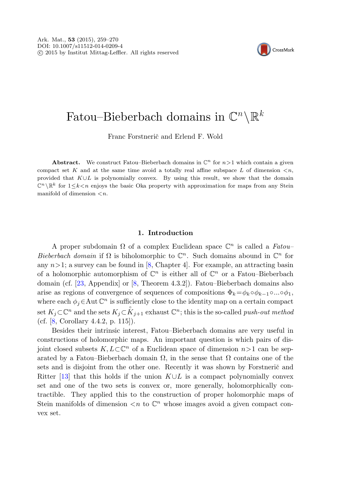

# Fatou–Bieberbach domains in  $\mathbb{C}^n \backslash \mathbb{R}^k$

Franc Forstnerič and Erlend F. Wold

<span id="page-0-0"></span>**Abstract.** We construct Fatou–Bieberbach domains in  $\mathbb{C}^n$  for  $n>1$  which contain a given compact set K and at the same time avoid a totally real affine subspace L of dimension  $\leq n$ , provided that K∪L is polynomially convex. By using this result, we show that the domain  $\mathbb{C}^n \backslash \mathbb{R}^k$  for  $1 \leq k \leq n$  enjoys the basic Oka property with approximation for maps from any Stein manifold of dimension  $\leq n$ .

### **1. Introduction**

A proper subdomain  $\Omega$  of a complex Euclidean space  $\mathbb{C}^n$  is called a *Fatou*– Bieberbach domain if  $\Omega$  is biholomorphic to  $\mathbb{C}^n$ . Such domains abound in  $\mathbb{C}^n$  for any  $n>1$ ; a survey can be found in [[8,](#page-10-0) Chapter 4]. For example, an attracting basin of a holomorphic automorphism of  $\mathbb{C}^n$  is either all of  $\mathbb{C}^n$  or a Fatou–Bieberbach domain (cf. [[23,](#page-11-0) Appendix] or [\[8](#page-10-0), Theorem 4.3.2]). Fatou–Bieberbach domains also arise as regions of convergence of sequences of compositions  $\Phi_k = \phi_k \circ \phi_{k-1} \circ ... \circ \phi_1$ , where each  $\phi_j \in \text{Aut } \mathbb{C}^n$  is sufficiently close to the identity map on a certain compact set  $K_j\subset\mathbb{C}^n$  and the sets  $K_j\subset \overset{\circ}{K}_{j+1}$  exhaust  $\mathbb{C}^n$ ; this is the so-called push-out method (cf. [[8,](#page-10-0) Corollary 4.4.2, p. 115]).

Besides their intrinsic interest, Fatou–Bieberbach domains are very useful in constructions of holomorphic maps. An important question is which pairs of disjoint closed subsets  $K, L \subset \mathbb{C}^n$  of a Euclidean space of dimension  $n>1$  can be separated by a Fatou–Bieberbach domain  $\Omega$ , in the sense that  $\Omega$  contains one of the sets and is disjoint from the other one. Recently it was shown by Forstneric and Ritter [[13\]](#page-10-1) that this holds if the union  $K \cup L$  is a compact polynomially convex set and one of the two sets is convex or, more generally, holomorphically contractible. They applied this to the construction of proper holomorphic maps of Stein manifolds of dimension  $\leq n$  to  $\mathbb{C}^n$  whose images avoid a given compact convex set.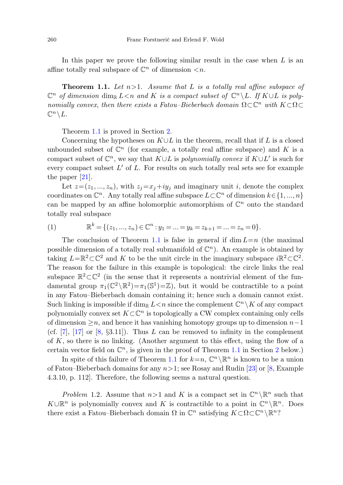<span id="page-1-0"></span>**Theorem 1.1.** Let  $n > 1$ . Assume that L is a totally real affine subspace of  $\mathbb{C}^n$  of dimension dim<sub>R</sub>  $L$ <n and K is a compact subset of  $\mathbb{C}^n \backslash L$ . If  $K \cup L$  is polynomially convex, then there exists a Fatou–Bieberbach domain  $\Omega \subset \mathbb{C}^n$  with  $K \subset \Omega$  $\mathbb{C}^n \backslash L$ .

Theorem [1.1](#page-1-0) is proved in Section [2](#page-4-0).

<span id="page-1-1"></span>Concerning the hypotheses on  $K \cup L$  in the theorem, recall that if L is a closed unbounded subset of  $\mathbb{C}^n$  (for example, a totally real affine subspace) and K is a compact subset of  $\mathbb{C}^n$ , we say that  $K \cup L$  is polynomially convex if  $K \cup L'$  is such for every compact subset  $L'$  of  $L$ . For results on such totally real sets see for example the paper [[21\]](#page-11-1).

Let  $z=(z_1, ..., z_n)$ , with  $z_i=x_i+iy_i$  and imaginary unit i, denote the complex coordinates on  $\mathbb{C}^n$ . Any totally real affine subspace  $L\subset\mathbb{C}^n$  of dimension  $k\in\{1,...,n\}$ can be mapped by an affine holomorphic automorphism of  $\mathbb{C}^n$  onto the standard totally real subspace

$$
(1)
$$

(1) 
$$
\mathbb{R}^k = \{ (z_1, ..., z_n) \in \mathbb{C}^n : y_1 = ... = y_k = z_{k+1} = ... = z_n = 0 \}.
$$

The conclusion of Theorem [1.1](#page-1-0) is false in general if  $\dim L=n$  (the maximal possible dimension of a totally real submanifold of  $\mathbb{C}^n$ ). An example is obtained by taking  $L=\mathbb{R}^2\subset\mathbb{C}^2$  and K to be the unit circle in the imaginary subspace  $i\mathbb{R}^2\subset\mathbb{C}^2$ . The reason for the failure in this example is topological: the circle links the real subspace  $\mathbb{R}^2 \subset \mathbb{C}^2$  (in the sense that it represents a nontrivial element of the fundamental group  $\pi_1(\mathbb{C}^2 \backslash \mathbb{R}^2) = \pi_1(\mathbb{S}^1) = \mathbb{Z}$ , but it would be contractible to a point in any Fatou–Bieberbach domain containing it; hence such a domain cannot exist. Such linking is impossible if dim<sub>R</sub>  $L < n$  since the complement  $\mathbb{C}^n \setminus K$  of any compact polynomially convex set  $K\subset\mathbb{C}^n$  is topologically a CW complex containing only cells of dimension  $\geq n$ , and hence it has vanishing homotopy groups up to dimension  $n-1$ (cf.  $[7]$  $[7]$ ,  $[17]$  $[17]$  or  $[8, §3.11]$  $[8, §3.11]$ ). Thus L can be removed to infinity in the complement of  $K$ , so there is no linking. (Another argument to this effect, using the flow of a certain vector field on  $\mathbb{C}^n$ , is given in the proof of Theorem [1.1](#page-1-0) in Section [2](#page-4-0) below.)

In spite of this failure of Theorem [1.1](#page-1-0) for  $k=n, \mathbb{C}^n \setminus \mathbb{R}^n$  is known to be a union of Fatou–Bieberbach domains for any  $n>1$ ; see Rosay and Rudin [[23\]](#page-11-0) or [\[8](#page-10-0), Example 4.3.10, p. 112]. Therefore, the following seems a natural question.

Problem 1.2. Assume that  $n>1$  and K is a compact set in  $\mathbb{C}^n \setminus \mathbb{R}^n$  such that K∪R<sup>n</sup> is polynomially convex and K is contractible to a point in  $\mathbb{C}^n \setminus \mathbb{R}^n$ . Does there exist a Fatou–Bieberbach domain  $\Omega$  in  $\mathbb{C}^n$  satisfying  $K \subset \Omega \subset \mathbb{C}^n \setminus \mathbb{R}^n$ ?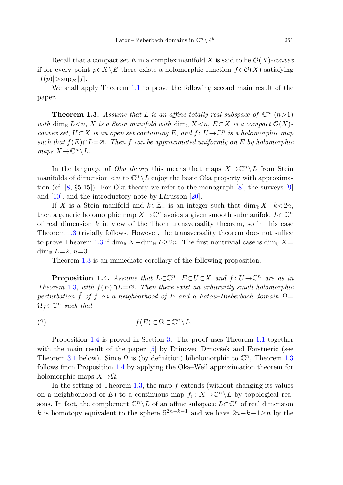<span id="page-2-0"></span>Recall that a compact set E in a complex manifold X is said to be  $\mathcal{O}(X)$ -convex if for every point  $p \in X\backslash E$  there exists a holomorphic function  $f \in \mathcal{O}(X)$  satisfying  $|f(p)| > \sup_{E} |f|.$ 

We shall apply Theorem [1.1](#page-1-0) to prove the following second main result of the paper.

**Theorem 1.3.** Assume that L is an affine totally real subspace of  $\mathbb{C}^n$   $(n>1)$ with dim $E\leq n$ , X is a Stein manifold with dim $\subset X\leq n$ ,  $E\subset X$  is a compact  $\mathcal{O}(X)$ convex set,  $U \subset X$  is an open set containing E, and  $f: U \to \mathbb{C}^n$  is a holomorphic map such that  $f(E) \cap L = \emptyset$ . Then f can be approximated uniformly on E by holomorphic maps  $X \to \mathbb{C}^n \backslash L$ .

In the language of Oka theory this means that maps  $X \to \mathbb{C}^n \setminus L$  from Stein manifolds of dimension  $\langle n \rangle$  to  $\mathbb{C}^n \setminus L$  enjoy the basic Oka property with approximation (cf.  $[8, \S 5.15]$  $[8, \S 5.15]$  $[8, \S 5.15]$ ). For Oka theory we refer to the monograph  $[8]$  $[8]$ , the surveys  $[9]$  $[9]$ and  $[10]$  $[10]$ , and the introductory note by Lárusson  $[20]$  $[20]$ .

<span id="page-2-1"></span>If X is a Stein manifold and  $k\in\mathbb{Z}_+$  is an integer such that  $\dim_\mathbb{R} X+k<2n$ , then a generic holomorphic map  $X \to \mathbb{C}^n$  avoids a given smooth submanifold  $L \subset \mathbb{C}^n$ of real dimension  $k$  in view of the Thom transversality theorem, so in this case Theorem [1.3](#page-2-0) trivially follows. However, the transversality theorem does not suffice to prove Theorem [1.3](#page-2-0) if  $\dim_{\mathbb{R}} X + \dim_{\mathbb{R}} L \geq 2n$ . The first nontrivial case is  $\dim_{\mathbb{C}} X =$  $\dim_{\mathbb{R}} L=2, n=3.$ 

<span id="page-2-2"></span>Theorem [1.3](#page-2-0) is an immediate corollary of the following proposition.

**Proposition 1.4.** Assume that  $L \subset \mathbb{C}^n$ ,  $E \subset U \subset X$  and  $f: U \to \mathbb{C}^n$  are as in Theorem [1.3](#page-2-0), with  $f(E) \cap L = \emptyset$ . Then there exist an arbitrarily small holomorphic perturbation f of f on a neighborhood of E and a Fatou–Bieberbach domain  $\Omega$  $\Omega_{\tilde{f}} \subset \mathbb{C}^n$  such that

(2) 
$$
\tilde{f}(E) \subset \Omega \subset \mathbb{C}^n \setminus L.
$$

Proposition [1.4](#page-2-1) is proved in Section [3](#page-8-0). The proof uses Theorem [1.1](#page-1-0) together with the main result of the paper  $[5]$  $[5]$  by Drinovec Drnovsek and Forstneric (see Theorem [3.1](#page-8-1) below). Since  $\Omega$  is (by definition) biholomorphic to  $\mathbb{C}^n$ , Theorem [1.3](#page-2-0) follows from Proposition [1.4](#page-2-1) by applying the Oka–Weil approximation theorem for holomorphic maps  $X \rightarrow \Omega$ .

In the setting of Theorem [1.3](#page-2-0), the map  $f$  extends (without changing its values on a neighborhood of E) to a continuous map  $f_0: X \to \mathbb{C}^n \backslash L$  by topological reasons. In fact, the complement  $\mathbb{C}^n \setminus L$  of an affine subspace  $L \subset \mathbb{C}^n$  of real dimension k is homotopy equivalent to the sphere  $\mathbb{S}^{2n-k-1}$  and we have  $2n-k-1\geq n$  by the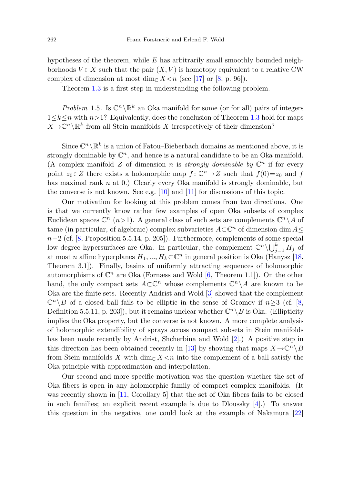hypotheses of the theorem, while  $E$  has arbitrarily small smoothly bounded neighborhoods  $V \subset X$  such that the pair  $(X, \overline{V})$  is homotopy equivalent to a relative CW complex of dimension at most dim<sub>C</sub>  $X \le n$  (see [[17\]](#page-10-3) or [[8,](#page-10-0) p. 96]).

Theorem [1.3](#page-2-0) is a first step in understanding the following problem.

Problem 1.5. Is  $\mathbb{C}^n \setminus \mathbb{R}^k$  an Oka manifold for some (or for all) pairs of integers  $1 \leq k \leq n$  with  $n > 1$ ? Equivalently, does the conclusion of Theorem [1.3](#page-2-0) hold for maps  $X \to \mathbb{C}^n \backslash \mathbb{R}^k$  from all Stein manifolds X irrespectively of their dimension?

Since  $\mathbb{C}^n \setminus \mathbb{R}^k$  is a union of Fatou–Bieberbach domains as mentioned above, it is strongly dominable by  $\mathbb{C}^n$ , and hence is a natural candidate to be an Oka manifold. (A complex manifold Z of dimension n is *strongly dominable by*  $\mathbb{C}^n$  if for every point  $z_0 \in Z$  there exists a holomorphic map  $f: \mathbb{C}^n \to Z$  such that  $f(0)=z_0$  and f has maximal rank n at 0.) Clearly every Oka manifold is strongly dominable, but the converse is not known. See e.g. [\[10](#page-10-5)] and [[11\]](#page-10-7) for discussions of this topic.

Our motivation for looking at this problem comes from two directions. One is that we currently know rather few examples of open Oka subsets of complex Euclidean spaces  $\mathbb{C}^n$  (n>1). A general class of such sets are complements  $\mathbb{C}^n \setminus A$  of tame (in particular, of algebraic) complex subvarieties  $A\subset\mathbb{C}^n$  of dimension dim  $A\leq$ n−2 (cf. [[8,](#page-10-0) Proposition 5.5.14, p. 205]). Furthermore, complements of some special low degree hypersurfaces are Oka. In particular, the complement  $\mathbb{C}^n \setminus \bigcup_{j=1}^k H_j$  of at most n affine hyperplanes  $H_1, ..., H_k \subset \mathbb{C}^n$  in general position is Oka (Hanysz [[18,](#page-10-8) Theorem 3.1]). Finally, basins of uniformly attracting sequences of holomorphic automorphisms of  $\mathbb{C}^n$  are Oka (Fornæss and Wold [[6,](#page-10-9) Theorem 1.1]). On the other hand, the only compact sets  $A\subset\mathbb{C}^n$  whose complements  $\mathbb{C}^n\setminus A$  are known to be Oka are the finite sets. Recently Andrist and Wold [[3\]](#page-10-10) showed that the complement  $\mathbb{C}^n \backslash B$  of a closed ball fails to be elliptic in the sense of Gromov if  $n>3$  (cf. [[8,](#page-10-0) Definition 5.5.11, p. 203), but it remains unclear whether  $\mathbb{C}^n \setminus B$  is Oka. (Ellipticity implies the Oka property, but the converse is not known. A more complete analysis of holomorphic extendibility of sprays across compact subsets in Stein manifolds has been made recently by Andrist, Shcherbina and Wold [\[2](#page-10-11)].) A positive step in this direction has been obtained recently in [\[13](#page-10-1)] by showing that maps  $X \to \mathbb{C}^n \backslash B$ from Stein manifolds X with dim<sub>C</sub>  $X \le n$  into the complement of a ball satisfy the Oka principle with approximation and interpolation.

Our second and more specific motivation was the question whether the set of Oka fibers is open in any holomorphic family of compact complex manifolds. (It was recently shown in [\[11](#page-10-7), Corollary 5] that the set of Oka fibers fails to be closed in such families; an explicit recent example is due to Dloussky [\[4](#page-10-12)].) To answer this question in the negative, one could look at the example of Nakamura [[22\]](#page-11-3)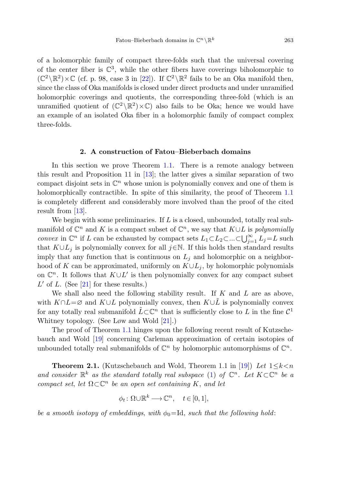<span id="page-4-0"></span>of a holomorphic family of compact three-folds such that the universal covering of the center fiber is  $\mathbb{C}^3$ , while the other fibers have coverings biholomorphic to  $(\mathbb{C}^2 \setminus \mathbb{R}^2) \times \mathbb{C}$  (cf. p. 98, case 3 in [\[22](#page-11-3)]). If  $\mathbb{C}^2 \setminus \mathbb{R}^2$  fails to be an Oka manifold then, since the class of Oka manifolds is closed under direct products and under unramified holomorphic coverings and quotients, the corresponding three-fold (which is an unramified quotient of  $(\mathbb{C}^2 \setminus \mathbb{R}^2) \times \mathbb{C}$  also fails to be Oka; hence we would have an example of an isolated Oka fiber in a holomorphic family of compact complex three-folds.

### **2. A construction of Fatou–Bieberbach domains**

In this section we prove Theorem [1.1](#page-1-0). There is a remote analogy between this result and Proposition 11 in [[13\]](#page-10-1); the latter gives a similar separation of two compact disjoint sets in  $\mathbb{C}^n$  whose union is polynomially convex and one of them is holomorphically contractible. In spite of this similarity, the proof of Theorem [1.1](#page-1-0) is completely different and considerably more involved than the proof of the cited result from [[13\]](#page-10-1).

We begin with some preliminaries. If  $L$  is a closed, unbounded, totally real submanifold of  $\mathbb{C}^n$  and K is a compact subset of  $\mathbb{C}^n$ , we say that  $K\cup L$  is *polynomially* convex in  $\mathbb{C}^n$  if L can be exhausted by compact sets  $L_1 \subset L_2 \subset ... \subset \bigcup_{j=1}^{\infty} L_j = L$  such that  $K \cup L_i$  is polynomially convex for all  $j \in \mathbb{N}$ . If this holds then standard results imply that any function that is continuous on  $L_j$  and holomorphic on a neighborhood of K can be approximated, uniformly on  $K \cup L_i$ , by holomorphic polynomials on  $\mathbb{C}^n$ . It follows that  $K \cup L'$  is then polynomially convex for any compact subset  $L'$  of L. (See [\[21](#page-11-1)] for these results.)

We shall also need the following stability result. If  $K$  and  $L$  are as above, with  $K \cap L = \emptyset$  and  $K \cup L$  polynomially convex, then  $K \cup \tilde{L}$  is polynomially convex for any totally real submanifold  $L\subset\mathbb{C}^n$  that is sufficiently close to L in the fine  $\mathcal{C}^1$ Whitney topology. (See Løw and Wold [[21\]](#page-11-1).)

The proof of Theorem [1.1](#page-1-0) hinges upon the following recent result of Kutzschebauch and Wold [\[19](#page-10-13)] concerning Carleman approximation of certain isotopies of unbounded totally real submanifolds of  $\mathbb{C}^n$  by holomorphic automorphisms of  $\mathbb{C}^n$ .

**Theorem 2.1.** (Kutzschebauch and Wold, Theorem 1.1 in [\[19](#page-10-13)]) Let  $1 \leq k \leq n$ and consider  $\mathbb{R}^k$  as the standard totally real subspace ([1\)](#page-1-1) of  $\mathbb{C}^n$ . Let  $K\subset\mathbb{C}^n$  be a compact set, let  $\Omega \subset \mathbb{C}^n$  be an open set containing K, and let

<span id="page-4-1"></span>
$$
\phi_t \colon \Omega \cup \mathbb{R}^k \longrightarrow \mathbb{C}^n, \quad t \in [0, 1],
$$

be a smooth isotopy of embeddings, with  $\phi_0 = Id$ , such that the following hold: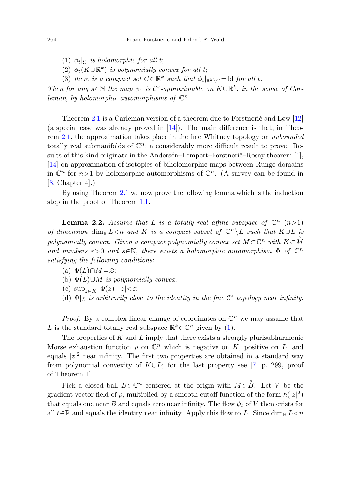- (1)  $\phi_t|_{\Omega}$  is holomorphic for all t;
- (2)  $\phi_t(K\cup\mathbb{R}^k)$  is polynomially convex for all t;
- (3) there is a compact set  $C \subset \mathbb{R}^k$  such that  $\phi_t|_{\mathbb{R}^k \setminus C} =$ Id for all t.

Then for any s∈N the map  $\phi_1$  is  $\mathcal{C}^s$ -approximable on  $K\cup\mathbb{R}^k$ , in the sense of Carleman, by holomorphic automorphisms of  $\mathbb{C}^n$ .

Theorem [2.1](#page-4-1) is a Carleman version of a theorem due to Forstneric and  $L\phi w$  [[12\]](#page-10-14) (a special case was already proved in [[14\]](#page-10-15)). The main difference is that, in Theorem [2.1](#page-4-1), the approximation takes place in the fine Whitney topology on unbounded totally real submanifolds of  $\mathbb{C}^n$ ; a considerably more difficult result to prove. Results of this kind originate in the Andersén–Lempert–Forstnerič–Rosay theorem  $[1]$  $[1]$ , [\[14](#page-10-15)] on approximation of isotopies of biholomorphic maps between Runge domains in  $\mathbb{C}^n$  for  $n>1$  by holomorphic automorphisms of  $\mathbb{C}^n$ . (A survey can be found in  $[8, Chapter 4]$  $[8, Chapter 4]$ .)

<span id="page-5-0"></span>By using Theorem [2.1](#page-4-1) we now prove the following lemma which is the induction step in the proof of Theorem [1.1.](#page-1-0)

**Lemma 2.2.** Assume that L is a totally real affine subspace of  $\mathbb{C}^n$   $(n>1)$ of dimension dim<sub>R</sub>  $L$ <n and K is a compact subset of  $\mathbb{C}^n \setminus L$  such that  $K \cup L$  is polynomially convex. Given a compact polynomially convex set  $M\subset\mathbb{C}^n$  with  $K\subset \overset{\circ}{M}$ and numbers  $\varepsilon > 0$  and  $s \in \mathbb{N}$ , there exists a holomorphic automorphism  $\Phi$  of  $\mathbb{C}^n$ satisfying the following conditions:

- (a)  $\Phi(L) \cap M = \varnothing;$
- (b)  $\Phi(L) \cup M$  is polynomially convex;
- (c)  $\sup_{z \in K} |\Phi(z)-z| < \varepsilon;$
- (d)  $\Phi|_L$  is arbitrarily close to the identity in the fine  $\mathcal{C}^s$  topology near infinity.

*Proof.* By a complex linear change of coordinates on  $\mathbb{C}^n$  we may assume that L is the standard totally real subspace  $\mathbb{R}^k\subset\mathbb{C}^n$  given by [\(1](#page-1-1)).

The properties of  $K$  and  $L$  imply that there exists a strongly plurisubharmonic Morse exhaustion function  $\rho$  on  $\mathbb{C}^n$  which is negative on K, positive on L, and equals  $|z|^2$  near infinity. The first two properties are obtained in a standard way from polynomial convexity of  $K\cup L$ ; for the last property see [[7,](#page-10-2) p. 299, proof of Theorem 1].

Pick a closed ball  $B\subset\mathbb{C}^n$  centered at the origin with  $M\subset B$ . Let V be the gradient vector field of  $\rho$ , multiplied by a smooth cutoff function of the form  $h(|z|^2)$ that equals one near B and equals zero near infinity. The flow  $\psi_t$  of V then exists for all  $t \in \mathbb{R}$  and equals the identity near infinity. Apply this flow to L. Since  $\dim_{\mathbb{R}} L \leq n$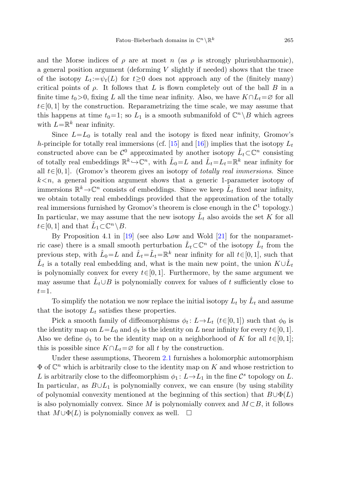and the Morse indices of  $\rho$  are at most n (as  $\rho$  is strongly plurisubharmonic), a general position argument (deforming V slightly if needed) shows that the trace of the isotopy  $L_t := \psi_t(L)$  for  $t \geq 0$  does not approach any of the (finitely many) critical points of  $\rho$ . It follows that L is flown completely out of the ball B in a finite time  $t_0>0$ , fixing L all the time near infinity. Also, we have  $K\cap L_t=Ø$  for all  $t\in[0,1]$  by the construction. Reparametrizing the time scale, we may assume that this happens at time  $t_0=1$ ; so  $L_1$  is a smooth submanifold of  $\mathbb{C}^n \setminus B$  which agrees with  $L=\mathbb{R}^k$  near infinity.

Since  $L=L_0$  is totally real and the isotopy is fixed near infinity, Gromov's h-principle for totally real immersions (cf. [\[15](#page-10-17)] and [[16\]](#page-10-18)) implies that the isotopy  $L_t$ constructed above can be  $\mathcal{C}^0$  approximated by another isotopy  $\tilde{L}_t\subset\mathbb{C}^n$  consisting of totally real embeddings  $\mathbb{R}^k \hookrightarrow \mathbb{C}^n$ , with  $\tilde{L}_0=L$  and  $\tilde{L}_t=L_t=\mathbb{R}^k$  near infinity for all  $t \in [0, 1]$ . (Gromov's theorem gives an isotopy of *totally real immersions*. Since  $k < n$ , a general position argument shows that a generic 1-parameter isotopy of immersions  $\mathbb{R}^k \to \mathbb{C}^n$  consists of embeddings. Since we keep  $\tilde{L}_t$  fixed near infinity, we obtain totally real embeddings provided that the approximation of the totally real immersions furnished by Gromov's theorem is close enough in the  $\mathcal{C}^1$  topology.) In particular, we may assume that the new isotopy  $L_t$  also avoids the set K for all  $t\in[0,1]$  and that  $\tilde{L}_1\subset\mathbb{C}^n\setminus B$ .

By Proposition 4.1 in  $[19]$  $[19]$  (see also Løw and Wold  $[21]$  $[21]$  for the nonparametric case) there is a small smooth perturbation  $\hat{L}_t \subset \mathbb{C}^n$  of the isotopy  $\tilde{L}_t$  from the previous step, with  $\hat{L}_0=L$  and  $\hat{L}_t=\tilde{L}_t=\mathbb{R}^k$  near infinity for all  $t\in[0,1]$ , such that  $\hat{L}_t$  is a totally real embedding and, what is the main new point, the union  $K \cup \hat{L}_t$ is polynomially convex for every  $t \in [0, 1]$ . Furthermore, by the same argument we may assume that  $\hat{L}_t \cup B$  is polynomially convex for values of t sufficiently close to  $t=1$ .

To simplify the notation we now replace the initial isotopy  $L_t$  by  $\hat{L}_t$  and assume that the isotopy  $L_t$  satisfies these properties.

Pick a smooth family of diffeomorphisms  $\phi_t: L \to L_t$  ( $t \in [0, 1]$ ) such that  $\phi_0$  is the identity map on  $L=L_0$  and  $\phi_t$  is the identity on L near infinity for every  $t\in[0,1]$ . Also we define  $\phi_t$  to be the identity map on a neighborhood of K for all  $t\in[0,1]$ ; this is possible since  $K \cap L_t = \emptyset$  for all t by the construction.

Under these assumptions, Theorem [2.1](#page-4-1) furnishes a holomorphic automorphism  $\Phi$  of  $\mathbb{C}^n$  which is arbitrarily close to the identity map on K and whose restriction to L is arbitrarily close to the diffeomorphism  $\phi_1: L \to L_1$  in the fine  $\mathcal{C}^s$  topology on L. In particular, as  $B\cup L_1$  is polynomially convex, we can ensure (by using stability of polynomial convexity mentioned at the beginning of this section) that  $B\cup \Phi(L)$ is also polynomially convex. Since M is polynomially convex and  $M \subset B$ , it follows that  $M \cup \Phi(L)$  is polynomially convex as well.  $\Box$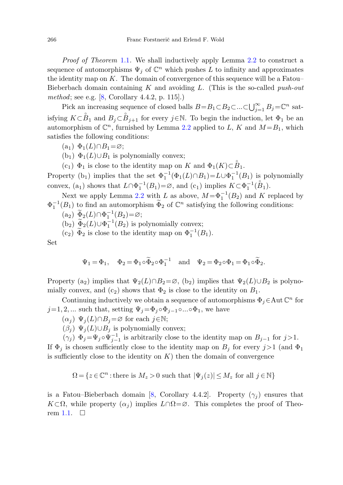Proof of Theorem [1.1](#page-1-0). We shall inductively apply Lemma [2.2](#page-5-0) to construct a sequence of automorphisms  $\Psi_i$  of  $\mathbb{C}^n$  which pushes L to infinity and approximates the identity map on  $K$ . The domain of convergence of this sequence will be a Fatou– Bieberbach domain containing  $K$  and avoiding  $L$ . (This is the so-called *push-out* method; see e.g.  $[8,$  $[8,$  Corollary 4.4.2, p. 115].)

Pick an increasing sequence of closed balls  $B=B_1\subset B_2\subset...\subset\bigcup_{j=1}^\infty B_j=\mathbb{C}^n$  satisfying  $K \subset \overset{\circ}{B}_1$  and  $B_j \subset \overset{\circ}{B}_{j+1}$  for every  $j \in \mathbb{N}$ . To begin the induction, let  $\Phi_1$  be an automorphism of  $\mathbb{C}^n$ , furnished by Lemma [2.2](#page-5-0) applied to L, K and  $M = B_1$ , which satisfies the following conditions:

- $(a_1) \Phi_1(L) \cap B_1 = \varnothing$ ;
- (b<sub>1</sub>)  $\Phi_1(L) \cup B_1$  is polynomially convex;
- $(c_1) \Phi_1$  is close to the identity map on K and  $\Phi_1(K) \subset \overset{\circ}{B}_1$ .

Property (b<sub>1</sub>) implies that the set  $\Phi_1^{-1}(\Phi_1(L) \cap B_1) = L \cup \Phi_1^{-1}(B_1)$  is polynomially convex,  $(a_1)$  shows that  $L \cap \Phi_1^{-1}(B_1) = \emptyset$ , and  $(c_1)$  implies  $K \subset \Phi_1^{-1}(\overset{\circ}{B}_1)$ .

Next we apply Lemma [2.2](#page-5-0) with L as above,  $M = \Phi_1^{-1}(B_2)$  and K replaced by  $\Phi_1^{-1}(B_1)$  to find an automorphism  $\widetilde{\Phi}_2$  of  $\mathbb{C}^n$  satisfying the following conditions:

$$
\text{(a)}\ \widetilde{\Phi}_2(L) \cap \Phi_1^{-1}(B_2) = \varnothing;
$$

 $(\epsilon_2) \widetilde{\Phi}_2(L) \cup \Phi_1^{-1}(B_2)$  is polynomially convex;<br> $(\epsilon_1) \widetilde{\Phi}_1$  is also to the identity weak of  $\Phi^{-1}(L)$ 

 $(c_2) \widetilde{\Phi}_2$  is close to the identity map on  $\Phi_1^{-1}(B_1)$ .

Set

$$
\Psi_1 = \Phi_1
$$
,  $\Phi_2 = \Phi_1 \circ \widetilde{\Phi}_2 \circ \Phi_1^{-1}$  and  $\Psi_2 = \Phi_2 \circ \Phi_1 = \Phi_1 \circ \widetilde{\Phi}_2$ .

Property (a<sub>2</sub>) implies that  $\Psi_2(L) \cap B_2 = \emptyset$ , (b<sub>2</sub>) implies that  $\Psi_2(L) \cup B_2$  is polynomially convex, and  $(c_2)$  shows that  $\Phi_2$  is close to the identity on  $B_1$ .

Continuing inductively we obtain a sequence of automorphisms  $\Phi_i \in \text{Aut } \mathbb{C}^n$  for  $j=1, 2, ...$  such that, setting  $\Psi_j = \Phi_j \circ \Phi_{j-1} \circ ... \circ \Phi_1$ , we have

 $(\alpha_j) \Psi_j(L) \cap B_j = \varnothing$  for each  $j \in \mathbb{N}$ ;

 $(\beta_i) \Psi_i(L) \cup B_i$  is polynomially convex;

 $(\gamma_j) \Phi_j = \Psi_j \circ \Psi_{j-1}^{-1}$  is arbitrarily close to the identity map on  $B_{j-1}$  for  $j>1$ . If  $\Phi_j$  is chosen sufficiently close to the identity map on  $B_j$  for every  $j>1$  (and  $\Phi_1$ ) is sufficiently close to the identity on  $K$ ) then the domain of convergence

$$
\Omega = \{ z \in \mathbb{C}^n : \text{there is } M_z > 0 \text{ such that } |\Psi_j(z)| \le M_z \text{ for all } j \in \mathbb{N} \}
$$

is a Fatou–Bieberbach domain [[8,](#page-10-0) Corollary 4.4.2]. Property  $(\gamma_j)$  ensures that  $K\subset\Omega$ , while property  $(\alpha_i)$  implies  $L\cap\Omega=\emptyset$ . This completes the proof of Theo-rem [1.1](#page-1-0).  $\Box$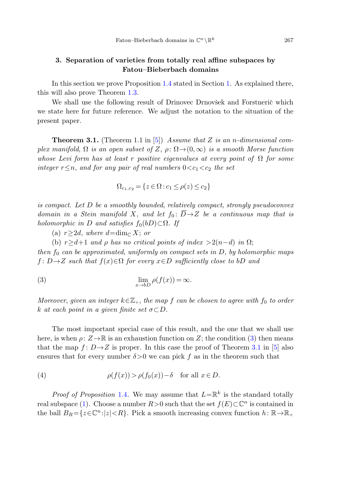## <span id="page-8-1"></span><span id="page-8-0"></span>**3. Separation of varieties from totally real affine subspaces by Fatou–Bieberbach domains**

In this section we prove Proposition [1.4](#page-2-1) stated in Section [1.](#page-0-0) As explained there, this will also prove Theorem [1.3](#page-2-0).

We shall use the following result of Drinovec Drnovsek and Forstneric which we state here for future reference. We adjust the notation to the situation of the present paper.

**Theorem 3.1.** (Theorem 1.1 in [[5\]](#page-10-6)) Assume that Z is an n-dimensional complex manifold,  $\Omega$  is an open subset of Z,  $\rho: \Omega \to (0, \infty)$  is a smooth Morse function whose Levi form has at least r positive eigenvalues at every point of  $\Omega$  for some integer  $r \leq n$ , and for any pair of real numbers  $0 < c_1 < c_2$  the set

$$
\Omega_{c_1,c_2}=\{z\in\Omega:c_1\leq\rho(z)\leq c_2\}
$$

is compact. Let D be a smoothly bounded, relatively compact, strongly pseudoconvex domain in a Stein manifold X, and let  $f_0: \overline{D} \rightarrow Z$  be a continuous map that is holomorphic in D and satisfies  $f_0(bD) \subset \Omega$ . If

<span id="page-8-2"></span>(a)  $r>2d$ , where  $d=\dim_{\mathbb{C}} X$ ; or

(b)  $r \geq d+1$  and  $\rho$  has no critical points of index >2(n-d) in  $\Omega$ ; then  $f_0$  can be approximated, uniformly on compact sets in  $D$ , by holomorphic maps  $f: D \rightarrow Z$  such that  $f(x) \in \Omega$  for every  $x \in D$  sufficiently close to bD and

(3) 
$$
\lim_{x \to bD} \rho(f(x)) = \infty.
$$

<span id="page-8-3"></span>Moreover, given an integer  $k \in \mathbb{Z}_+$ , the map f can be chosen to agree with  $f_0$  to order k at each point in a given finite set  $\sigma \subset D$ .

The most important special case of this result, and the one that we shall use here, is when  $\rho: Z \to \mathbb{R}$  is an exhaustion function on Z; the condition ([3\)](#page-8-2) then means that the map  $f: D \rightarrow Z$  is proper. In this case the proof of Theorem [3.1](#page-8-1) in [[5\]](#page-10-6) also ensures that for every number  $\delta > 0$  we can pick f as in the theorem such that

(4) 
$$
\rho(f(x)) > \rho(f_0(x)) - \delta \quad \text{for all } x \in D.
$$

*Proof of Proposition* [1.4](#page-2-1). We may assume that  $L=\mathbb{R}^k$  is the standard totally real subspace ([1\)](#page-1-1). Choose a number  $R>0$  such that the set  $f(E)\subset\mathbb{C}^n$  is contained in the ball  $B_R = \{z \in \mathbb{C}^n : |z| < R\}$ . Pick a smooth increasing convex function  $h: \mathbb{R} \to \mathbb{R}_+$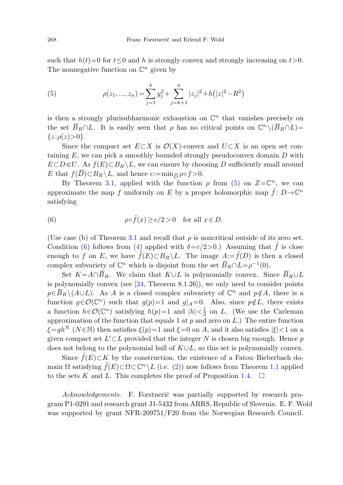<span id="page-9-0"></span>such that  $h(t)=0$  for  $t<0$  and h is strongly convex and strongly increasing on  $t>0$ . The nonnegative function on  $\mathbb{C}^n$  given by

(5) 
$$
\rho(z_1, ..., z_n) = \sum_{j=1}^k y_j^2 + \sum_{j=k+1}^n |z_j|^2 + h(|z|^2 - R^2)
$$

is then a strongly plurisubharmonic exhaustion on  $\mathbb{C}^n$  that vanishes precisely on the set  $\overline{B}_R \cap L$ . It is easily seen that  $\rho$  has no critical points on  $\mathbb{C}^n \setminus (\overline{B}_R \cap L)$ =  $\{z:\rho(z)>0\}.$ 

<span id="page-9-1"></span>Since the compact set  $E\subset X$  is  $\mathcal{O}(X)$ -convex and  $U\subset X$  is an open set containing  $E$ , we can pick a smoothly bounded strongly pseudoconvex domain  $D$  with  $E\subset D\in U$ . As  $f(E)\subset B_R\backslash L$ , we can ensure by choosing D sufficiently small around E that  $f(\overline{D}) \subset B_R \backslash L$ , and hence  $c:=\min_{\overline{D}} \rho \circ f > 0$ .

By Theorem [3.1,](#page-8-1) applied with the function  $\rho$  from ([5\)](#page-9-0) on  $Z=\mathbb{C}^n$ , we can approximate the map f uniformly on E by a proper holomorphic map  $\tilde{f}: D \to \mathbb{C}^n$ satisfying

(6) 
$$
\rho \circ \tilde{f}(x) \ge c/2 > 0 \quad \text{for all } x \in D.
$$

(Use case (b) of Theorem [3.1](#page-8-1) and recall that  $\rho$  is noncritical outside of its zero set. Condition ([6](#page-9-1)) follows from [\(4](#page-8-3)) applied with  $\delta = c/2 > 0$ .) Assuming that f is close enough to f on E, we have  $\tilde{f}(E) \subset B_R \backslash L$ . The image  $A := \tilde{f}(D)$  is then a closed complex subvariety of  $\mathbb{C}^n$  which is disjoint from the set  $\overline{B}_R \cap L = \rho^{-1}(0)$ .

Set  $K=A\cap\overline{B}_R$ . We claim that  $K\cup L$  is polynomially convex. Since  $\overline{B}_R\cup L$ is polynomially convex (see  $[24,$  $[24,$  Theorem 8.1.26]), we only need to consider points  $p\in \overline{B}_R\setminus (A\cup L)$ . As A is a closed complex subvariety of  $\mathbb{C}^n$  and  $p\notin A$ , there is a function  $g \in \mathcal{O}(\mathbb{C}^n)$  such that  $g(p)=1$  and  $g|_A = 0$ . Also, since  $p \notin L$ , there exists a function  $h \in \mathcal{O}(\mathbb{C}^n)$  satisfying  $h(p)=1$  and  $|h| < \frac{1}{2}$  on L. (We use the Carleman approximation of the function that equals 1 at  $p$  and zero on  $L$ .) The entire function  $\xi=qh^N$  (N ∈N) then satisfies  $\xi(p)=1$  and  $\xi=0$  on A, and it also satisfies  $|\xi|<1$  on a given compact set  $L' \subset L$  provided that the integer N is chosen big enough. Hence p does not belong to the polynomial hull of  $K \cup L$ , so this set is polynomially convex.

Since  $\tilde{f}(E) \subset K$  by the construction, the existence of a Fatou–Bieberbach domain  $\Omega$  satisfying  $\tilde{f}(E) \subset \Omega \subset \mathbb{C}^n \setminus L$  (i.e. ([2\)](#page-2-2)) now follows from Theorem [1.1](#page-1-0) applied to the sets K and L. This completes the proof of Proposition [1.4](#page-2-1).  $\Box$ 

Acknowledgements. F. Forstneric was partially supported by research program P1-0291 and research grant J1-5432 from ARRS, Republic of Slovenia. E. F. Wold was supported by grant NFR-209751/F20 from the Norwegian Research Council.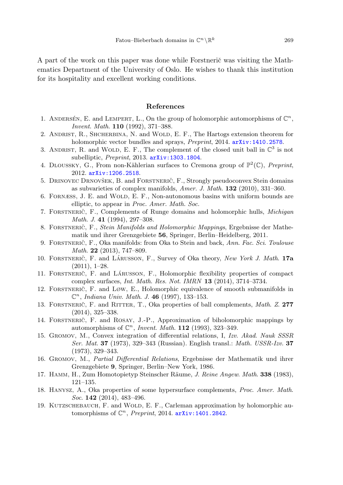<span id="page-10-16"></span><span id="page-10-11"></span><span id="page-10-10"></span>A part of the work on this paper was done while Forstneric was visiting the Mathematics Department of the University of Oslo. He wishes to thank this institution for its hospitality and excellent working conditions.

#### **References**

- <span id="page-10-12"></span><span id="page-10-6"></span>1. ANDERSEN, E. and LEMPERT, L., On the group of holomorphic automorphisms of  $\mathbb{C}^n$ , Invent. Math. **110** (1992), 371–388.
- <span id="page-10-9"></span>2. ANDRIST, R., SHCHERBINA, N. and WOLD, E. F., The Hartogs extension theorem for holomorphic vector bundles and sprays, *Preprint*, 2014. arXiv: 1410.2578.
- <span id="page-10-2"></span>3. ANDRIST, R. and WOLD, E. F., The complement of the closed unit ball in  $\mathbb{C}^3$  is not subelliptic, Preprint, 2013. [arXiv:1303.1804](http://arxiv.org/abs/arXiv:1303.1804).
- <span id="page-10-0"></span>4. DLOUSSKY, G., From non-Kählerian surfaces to Cremona group of  $\mathbb{P}^2(\mathbb{C})$ , *Preprint*, 2012. [arXiv:1206.2518](http://arxiv.org/abs/arXiv:1206.2518).
- <span id="page-10-4"></span>5. DRINOVEC DRNOVŠEK, B. and FORSTNERIC, F., Strongly pseudoconvex Stein domains as subvarieties of complex manifolds, Amer. J. Math. **132** (2010), 331–360.
- <span id="page-10-5"></span>6. FORNESS, J. E. and WOLD, E. F., Non-autonomous basins with uniform bounds are elliptic, to appear in Proc. Amer. Math. Soc.
- <span id="page-10-7"></span>7. FORSTNERIC, F., Complements of Runge domains and holomorphic hulls, *Michigan* Math. J. **41** (1994), 297–308.
- <span id="page-10-14"></span>8. FORSTNERIČ, F., Stein Manifolds and Holomorphic Mappings, Ergebnisse der Mathematik und ihrer Grenzgebiete **56**, Springer, Berlin–Heidelberg, 2011.
- <span id="page-10-1"></span>9. FORSTNERIC, F., Oka manifolds: from Oka to Stein and back, Ann. Fac. Sci. Toulouse Math. **22** (2013), 747–809.
- <span id="page-10-15"></span>10. FORSTNERIC, F. and LARUSSON, F., Survey of Oka theory, New York J. Math. 17a (2011), 1–28.
- <span id="page-10-17"></span>11. FORSTNERIČ, F. and LÁRUSSON, F., Holomorphic flexibility properties of compact complex surfaces, Int. Math. Res. Not. IMRN **13** (2014), 3714–3734.
- <span id="page-10-18"></span>12. FORSTNERIC, F. and Løw, E., Holomorphic equivalence of smooth submanifolds in  $\mathbb{C}^n$ , Indiana Univ. Math. J. 46 (1997), 133-153.
- <span id="page-10-3"></span>13. FORSTNERIC, F. and RITTER, T., Oka properties of ball complements, *Math. Z.* 277 (2014), 325–338.
- <span id="page-10-8"></span>14. FORSTNERIC, F. and ROSAY, J.-P., Approximation of biholomorphic mappings by automorphisms of  $\mathbb{C}^n$ , *Invent. Math.* **112** (1993), 323-349.
- <span id="page-10-13"></span>15. Gromov, M., Convex integration of differential relations, I, Izv. Akad. Nauk SSSR Ser. Mat. **37** (1973), 329–343 (Russian). English transl.: Math. USSR-Izv. **37** (1973), 329–343.
- 16. Gromov, M., Partial Differential Relations, Ergebnisse der Mathematik und ihrer Grenzgebiete **9**, Springer, Berlin–New York, 1986.
- 17. Hamm, H., Zum Homotopietyp Steinscher R¨aume, J. Reine Angew. Math. **338** (1983), 121–135.
- 18. Hanysz, A., Oka properties of some hypersurface complements, Proc. Amer. Math. Soc. **142** (2014), 483–496.
- 19. KUTZSCHEBAUCH, F. and WOLD, E. F., Carleman approximation by holomorphic automorphisms of  $\mathbb{C}^n$ , Preprint, 2014. [arXiv:1401.2842](http://arxiv.org/abs/arXiv:1401.2842).